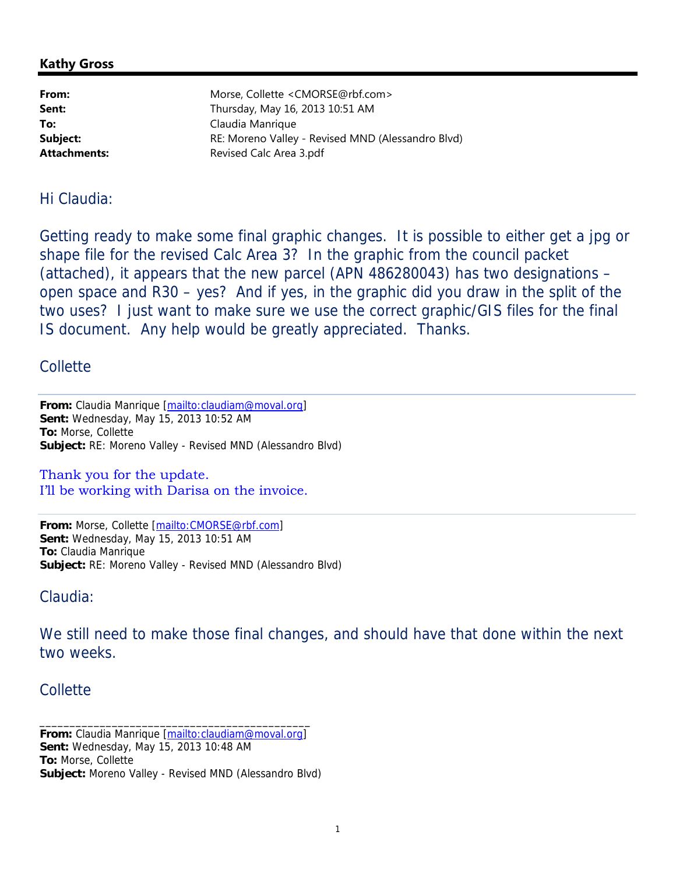## **Kathy Gross**

| From:        | Morse, Collette <cmorse@rbf.com></cmorse@rbf.com> |
|--------------|---------------------------------------------------|
| Sent:        | Thursday, May 16, 2013 10:51 AM                   |
| To:          | Claudia Manrique                                  |
| Subject:     | RE: Moreno Valley - Revised MND (Alessandro Blvd) |
| Attachments: | Revised Calc Area 3.pdf                           |
|              |                                                   |

## Hi Claudia:

Getting ready to make some final graphic changes. It is possible to either get a jpg or shape file for the revised Calc Area 3? In the graphic from the council packet (attached), it appears that the new parcel (APN 486280043) has two designations – open space and R30 – yes? And if yes, in the graphic did you draw in the split of the two uses? I just want to make sure we use the correct graphic/GIS files for the final IS document. Any help would be greatly appreciated. Thanks.

## Collette

From: Claudia Manrique [mailto:claudiam@moval.org] **Sent:** Wednesday, May 15, 2013 10:52 AM **To:** Morse, Collette **Subject:** RE: Moreno Valley - Revised MND (Alessandro Blvd)

Thank you for the update. I'll be working with Darisa on the invoice.

**From:** Morse, Collette [mailto:CMORSE@rbf.com] **Sent:** Wednesday, May 15, 2013 10:51 AM **To:** Claudia Manrique **Subject:** RE: Moreno Valley - Revised MND (Alessandro Blvd)

Claudia:

We still need to make those final changes, and should have that done within the next two weeks.

## Collette

**From:** Claudia Manrique [mailto:claudiam@moval.org] **Sent:** Wednesday, May 15, 2013 10:48 AM **To:** Morse, Collette **Subject:** Moreno Valley - Revised MND (Alessandro Blvd)

\_\_\_\_\_\_\_\_\_\_\_\_\_\_\_\_\_\_\_\_\_\_\_\_\_\_\_\_\_\_\_\_\_\_\_\_\_\_\_\_\_\_\_\_\_